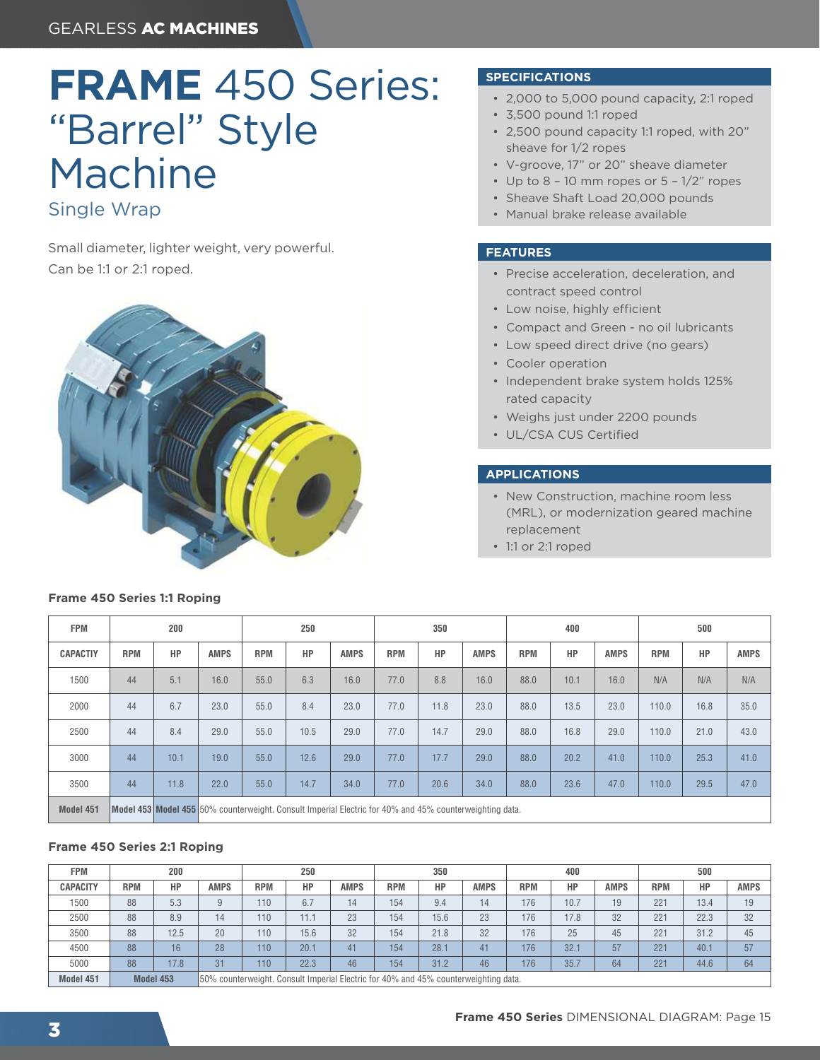# **FRAME** 450 Series: "Barrel" Style Machine

### Single Wrap

Small diameter, lighter weight, very powerful. Can be 1:1 or 2:1 roped.



#### **SPECIFICATIONS**

- 2,000 to 5,000 pound capacity, 2:1 roped
- 3,500 pound 1:1 roped
- 2,500 pound capacity 1:1 roped, with 20" sheave for 1/2 ropes
- V-groove, 17" or 20" sheave diameter
- Up to  $8 10$  mm ropes or  $5 1/2$ " ropes
- Sheave Shaft Load 20,000 pounds
- Manual brake release available

#### **FEATURES**

- Precise acceleration, deceleration, and contract speed control
- Low noise, highly efficient
- Compact and Green no oil lubricants
- Low speed direct drive (no gears)
- Cooler operation
- Independent brake system holds 125% rated capacity
- Weighs just under 2200 pounds
- UL/CSA CUS Certified

#### **APPLICATIONS**

- New Construction, machine room less (MRL), or modernization geared machine replacement
- 1:1 or 2:1 roped

| <b>FPM</b>      | 200        |      |                                                                                                                | 250        |      |             | 350        |      |             | 400        |      |             | 500        |      |             |
|-----------------|------------|------|----------------------------------------------------------------------------------------------------------------|------------|------|-------------|------------|------|-------------|------------|------|-------------|------------|------|-------------|
| <b>CAPACTIY</b> | <b>RPM</b> | HP   | <b>AMPS</b>                                                                                                    | <b>RPM</b> | HP   | <b>AMPS</b> | <b>RPM</b> | HP   | <b>AMPS</b> | <b>RPM</b> | HP   | <b>AMPS</b> | <b>RPM</b> | HP   | <b>AMPS</b> |
| 1500            | 44         | 5.1  | 16.0                                                                                                           | 55.0       | 6.3  | 16.0        | 77.0       | 8.8  | 16.0        | 88.0       | 10.1 | 16.0        | N/A        | N/A  | N/A         |
| 2000            | 44         | 6.7  | 23.0                                                                                                           | 55.0       | 8.4  | 23.0        | 77.0       | 11.8 | 23.0        | 88.0       | 13.5 | 23.0        | 110.0      | 16.8 | 35.0        |
| 2500            | 44         | 8.4  | 29.0                                                                                                           | 55.0       | 10.5 | 29.0        | 77.0       | 14.7 | 29.0        | 88.0       | 16.8 | 29.0        | 110.0      | 21.0 | 43.0        |
| 3000            | 44         | 10.1 | 19.0                                                                                                           | 55.0       | 12.6 | 29.0        | 77.0       | 17.7 | 29.0        | 88.0       | 20.2 | 41.0        | 110.0      | 25.3 | 41.0        |
| 3500            | 44         | 11.8 | 22.0                                                                                                           | 55.0       | 14.7 | 34.0        | 77.0       | 20.6 | 34.0        | 88.0       | 23.6 | 47.0        | 110.0      | 29.5 | 47.0        |
| Model 451       |            |      | <b>Model 453 Model 455</b> 50% counterweight. Consult Imperial Electric for 40% and 45% counterweighting data. |            |      |             |            |      |             |            |      |             |            |      |             |

## **Frame 450 Series 2:1 Roping**

**Frame 450 Series 1:1 Roping**

#### **FPM 200 250 350 400 500** CAPACITY RPM HP AMPS RPM HP AMPS RPM HP AMPS RPM HP AMPS RPM HP AMPS RPM HP AMPS 1500 | 88 | 5.3 | 9 | 110 | 6.7 | 14 | 154 | 9.4 | 14 | 176 | 10.7 | 19 | 221 | 13.4 | 19 2500 | 88 | 8.9 | 14 | 110 | 11.1 | 23 | 154 | 15.6 | 23 | 176 | 17.8 | 32 | 221 | 22.3 | 32 3500 | 88 | 12.5 | 20 | 110 | 15.6 | 32 | 154 | 21.8 | 32 | 176 | 25 | 45 | 221 | 31.2 | 45 4500 | 88 | 16 | 28 | 110 | 20.1 | 41 | 154 | 28.1 | 41 | 176 | 32.1 | 57 | 221 | 40.1 | 57 5000 88 17.8 31 110 22.3 46 154 31.2 46 176 35.7 64 221 44.6 64 Model 451 **Model 453** 50% counterweight. Consult Imperial Electric for 40% and 45% counterweighting data.